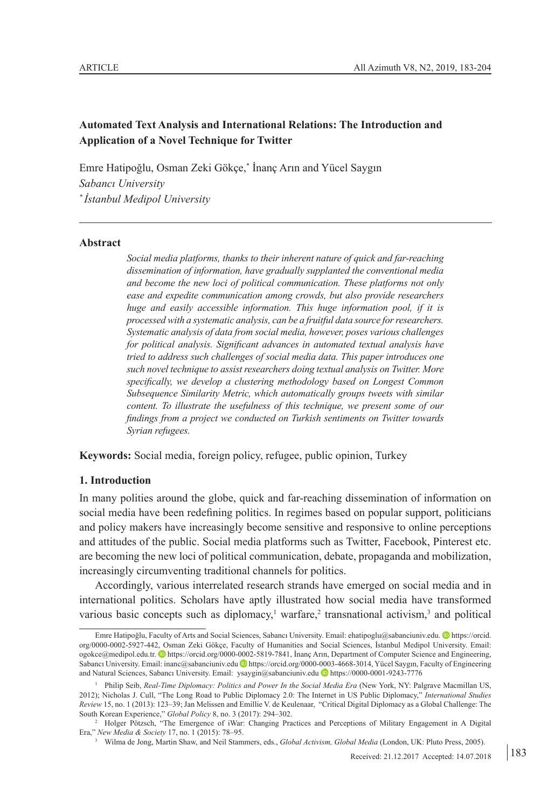# **Automated Text Analysis and International Relations: The Introduction and Application of a Novel Technique for Twitter**

Emre Hatipoğlu, Osman Zeki Gökçe,\* İnanç Arın and Yücel Saygın *Sabancı University \* İstanbul Medipol University*

### **Abstract**

*Social media platforms, thanks to their inherent nature of quick and far-reaching dissemination of information, have gradually supplanted the conventional media and become the new loci of political communication. These platforms not only ease and expedite communication among crowds, but also provide researchers huge and easily accessible information. This huge information pool, if it is processed with a systematic analysis, can be a fruitful data source for researchers. Systematic analysis of data from social media, however, poses various challenges for political analysis. Significant advances in automated textual analysis have tried to address such challenges of social media data. This paper introduces one such novel technique to assist researchers doing textual analysis on Twitter. More specifically, we develop a clustering methodology based on Longest Common Subsequence Similarity Metric, which automatically groups tweets with similar content. To illustrate the usefulness of this technique, we present some of our findings from a project we conducted on Turkish sentiments on Twitter towards Syrian refugees.*

**Keywords:** Social media, foreign policy, refugee, public opinion, Turkey

## **1. Introduction**

In many polities around the globe, quick and far-reaching dissemination of information on social media have been redefining politics. In regimes based on popular support, politicians and policy makers have increasingly become sensitive and responsive to online perceptions and attitudes of the public. Social media platforms such as Twitter, Facebook, Pinterest etc. are becoming the new loci of political communication, debate, propaganda and mobilization, increasingly circumventing traditional channels for politics.

Accordingly, various interrelated research strands have emerged on social media and in international politics. Scholars have aptly illustrated how social media have transformed various basic concepts such as diplomacy,<sup>1</sup> warfare,<sup>2</sup> transnational activism,<sup>3</sup> and political

Emre Hatipoğlu, Faculty of Arts and Social Sciences, Sabancı University. Email: [ehatipoglu@sabanciuniv.edu](mailto:ehatipoglu@sabanciuniv.edu). ID [h](https://orcid.org/0000-0002-5927-442)ttps://orcid. org/0000-0002-5927-442, Osman Zeki Gökçe, Faculty of Humanities and Social Sciences, İstanbul Medipol University. Email: ogokce@medipol.edu.tr[. h](https://orcid.org/0000-0002-5819-7841)ttps://orcid.org/0000-0002-5819-7841, İnanç Arın, Department of Computer Science and Engineering, Sabancı University. Email: [inanc@sabanciuniv.edu](mailto:inanc@sabanciuniv.edu) [h](https://orcid.org/0000-0003-4668-3014)ttps://orcid.org/0000-0003-4668-3014, Yücel Saygın, Faculty of Engineering and Natural Sciences, Sabancı University. Email: [ysaygin@sabanciuniv.edu](mailto:ysaygin@sabanciuniv.edu) [h](https://0000-0001-9243-7776)ttps://0000-0001-9243-7776

<sup>1</sup> Philip Seib, *Real-Time Diplomacy: Politics and Power In the Social Media Era* (New York, NY: Palgrave Macmillan US, 2012); Nicholas J. Cull, "The Long Road to Public Diplomacy 2.0: The Internet in US Public Diplomacy," *International Studies Review* 15, no. 1 (2013): 123–39; Jan Melissen and Emillie V. de Keulenaar, "Critical Digital Diplomacy as a Global Challenge: The South Korean Experience," *Global Policy* 8, no. 3 (2017): 294–302.

<sup>&</sup>lt;sup>2</sup> Holger Pötzsch, "The Emergence of iWar: Changing Practices and Perceptions of Military Engagement in A Digital Era," *New Media & Society* 17, no. 1 (2015): 78–95.

<sup>3</sup> Wilma de Jong, Martin Shaw, and Neil Stammers, eds., *Global Activism, Global Media* (London, UK: Pluto Press, 2005).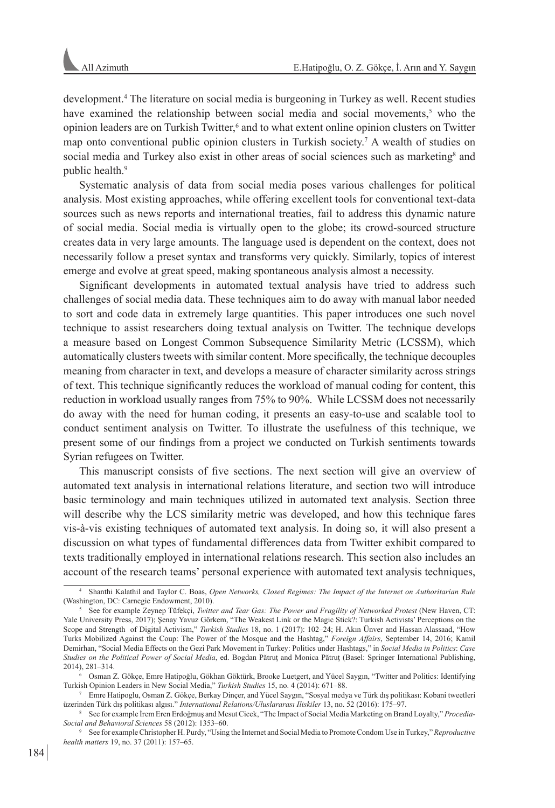development.4 The literature on social media is burgeoning in Turkey as well. Recent studies have examined the relationship between social media and social movements,<sup>5</sup> who the opinion leaders are on Turkish Twitter,<sup>6</sup> and to what extent online opinion clusters on Twitter map onto conventional public opinion clusters in Turkish society.<sup>7</sup> A wealth of studies on social media and Turkey also exist in other areas of social sciences such as marketing<sup>8</sup> and public health.9

Systematic analysis of data from social media poses various challenges for political analysis. Most existing approaches, while offering excellent tools for conventional text-data sources such as news reports and international treaties, fail to address this dynamic nature of social media. Social media is virtually open to the globe; its crowd-sourced structure creates data in very large amounts. The language used is dependent on the context, does not necessarily follow a preset syntax and transforms very quickly. Similarly, topics of interest emerge and evolve at great speed, making spontaneous analysis almost a necessity.

Significant developments in automated textual analysis have tried to address such challenges of social media data. These techniques aim to do away with manual labor needed to sort and code data in extremely large quantities. This paper introduces one such novel technique to assist researchers doing textual analysis on Twitter. The technique develops a measure based on Longest Common Subsequence Similarity Metric (LCSSM), which automatically clusters tweets with similar content. More specifically, the technique decouples meaning from character in text, and develops a measure of character similarity across strings of text. This technique significantly reduces the workload of manual coding for content, this reduction in workload usually ranges from 75% to 90%. While LCSSM does not necessarily do away with the need for human coding, it presents an easy-to-use and scalable tool to conduct sentiment analysis on Twitter. To illustrate the usefulness of this technique, we present some of our findings from a project we conducted on Turkish sentiments towards Syrian refugees on Twitter.

This manuscript consists of five sections. The next section will give an overview of automated text analysis in international relations literature, and section two will introduce basic terminology and main techniques utilized in automated text analysis. Section three will describe why the LCS similarity metric was developed, and how this technique fares vis-à-vis existing techniques of automated text analysis. In doing so, it will also present a discussion on what types of fundamental differences data from Twitter exhibit compared to texts traditionally employed in international relations research. This section also includes an account of the research teams' personal experience with automated text analysis techniques,

<sup>4</sup> Shanthi Kalathil and Taylor C. Boas, *Open Networks, Closed Regimes: The Impact of the Internet on Authoritarian Rule* (Washington, DC: Carnegie Endowment, 2010).

<sup>5</sup> See for example Zeynep Tüfekçi, *Twitter and Tear Gas: The Power and Fragility of Networked Protest* (New Haven, CT: Yale University Press, 2017); Senay Yavuz Görkem, "The Weakest Link or the Magic Stick?: Turkish Activists' Perceptions on the Scope and Strength of Digital Activism," *Turkish Studies* 18, no. 1 (2017): 102–24; H. Akın Ünver and Hassan Alassaad, "How Turks Mobilized Against the Coup: The Power of the Mosque and the Hashtag," *Foreign Affairs*, September 14, 2016; Kamil Demirhan, "Social Media Effects on the Gezi Park Movement in Turkey: Politics under Hashtags," in *Social Media in Politics*: *Case Studies on the Political Power of Social Media*, ed. Bogdan Pătruţ and Monica Pătruţ (Basel: Springer International Publishing, 2014), 281–314.

<sup>6</sup> Osman Z. Gökçe, Emre Hatipoğlu, Gökhan Göktürk, Brooke Luetgert, and Yücel Saygın, "Twitter and Politics: Identifying Turkish Opinion Leaders in New Social Media," *Turkish Studies* 15, no. 4 (2014): 671–88.

<sup>7</sup> Emre Hatipoglu, Osman Z. Gökçe, Berkay Dinçer, and Yücel Saygın, "Sosyal medya ve Türk dış politikası: Kobani tweetleri üzerinden Türk dış politikası algısı." *International Relations/Uluslararası Iliskiler* 13, no. 52 (2016): 175–97.

<sup>8</sup> See for example İrem Eren Erdoğmuş and Mesut Cicek, "The Impact of Social Media Marketing on Brand Loyalty," *Procedia-Social and Behavioral Sciences* 58 (2012): 1353–60.

<sup>9</sup> See for example Christopher H. Purdy, "Using the Internet and Social Media to Promote Condom Use in Turkey," *Reproductive health matters* 19, no. 37 (2011): 157–65.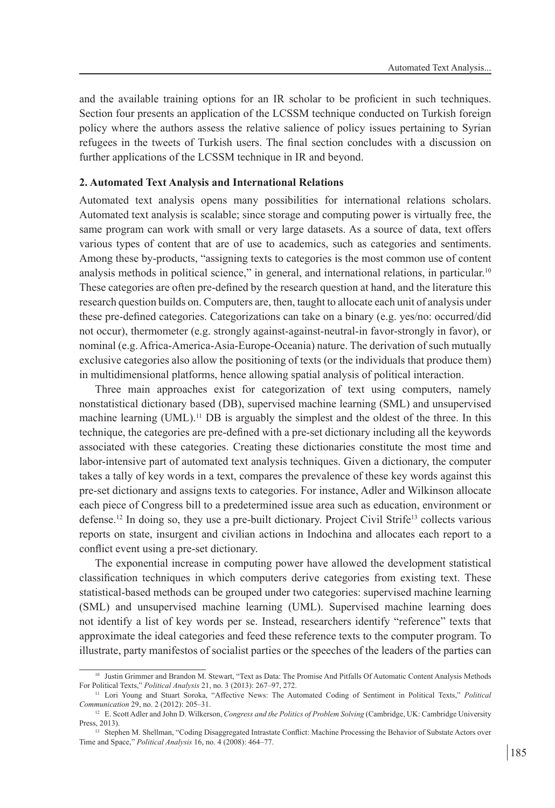and the available training options for an IR scholar to be proficient in such techniques. Section four presents an application of the LCSSM technique conducted on Turkish foreign policy where the authors assess the relative salience of policy issues pertaining to Syrian refugees in the tweets of Turkish users. The final section concludes with a discussion on further applications of the LCSSM technique in IR and beyond.

#### **2. Automated Text Analysis and International Relations**

Automated text analysis opens many possibilities for international relations scholars. Automated text analysis is scalable; since storage and computing power is virtually free, the same program can work with small or very large datasets. As a source of data, text offers various types of content that are of use to academics, such as categories and sentiments. Among these by-products, "assigning texts to categories is the most common use of content analysis methods in political science," in general, and international relations, in particular.10 These categories are often pre-defined by the research question at hand, and the literature this research question builds on. Computers are, then, taught to allocate each unit of analysis under these pre-defined categories. Categorizations can take on a binary (e.g. yes/no: occurred/did not occur), thermometer (e.g. strongly against-against-neutral-in favor-strongly in favor), or nominal (e.g. Africa-America-Asia-Europe-Oceania) nature. The derivation of such mutually exclusive categories also allow the positioning of texts (or the individuals that produce them) in multidimensional platforms, hence allowing spatial analysis of political interaction.

Three main approaches exist for categorization of text using computers, namely nonstatistical dictionary based (DB), supervised machine learning (SML) and unsupervised machine learning  $(UML)$ .<sup>11</sup> DB is arguably the simplest and the oldest of the three. In this technique, the categories are pre-defined with a pre-set dictionary including all the keywords associated with these categories. Creating these dictionaries constitute the most time and labor-intensive part of automated text analysis techniques. Given a dictionary, the computer takes a tally of key words in a text, compares the prevalence of these key words against this pre-set dictionary and assigns texts to categories. For instance, Adler and Wilkinson allocate each piece of Congress bill to a predetermined issue area such as education, environment or defense.<sup>12</sup> In doing so, they use a pre-built dictionary. Project Civil Strife<sup>13</sup> collects various reports on state, insurgent and civilian actions in Indochina and allocates each report to a conflict event using a pre-set dictionary.

The exponential increase in computing power have allowed the development statistical classification techniques in which computers derive categories from existing text. These statistical-based methods can be grouped under two categories: supervised machine learning (SML) and unsupervised machine learning (UML). Supervised machine learning does not identify a list of key words per se. Instead, researchers identify "reference" texts that approximate the ideal categories and feed these reference texts to the computer program. To illustrate, party manifestos of socialist parties or the speeches of the leaders of the parties can

<sup>&</sup>lt;sup>10</sup> Justin Grimmer and Brandon M. Stewart, "Text as Data: The Promise And Pitfalls Of Automatic Content Analysis Methods For Political Texts," *Political Analysis* 21, no. 3 (2013): 267–97, 272.

<sup>11</sup> Lori Young and Stuart Soroka, "Affective News: The Automated Coding of Sentiment in Political Texts," *Political Communication* 29, no. 2 (2012): 205–31.

<sup>12</sup> E. Scott Adler and John D. Wilkerson, *Congress and the Politics of Problem Solving* (Cambridge, UK: Cambridge University Press, 2013).

<sup>13</sup> Stephen M. Shellman, "Coding Disaggregated Intrastate Conflict: Machine Processing the Behavior of Substate Actors over Time and Space," *Political Analysis* 16, no. 4 (2008): 464–77.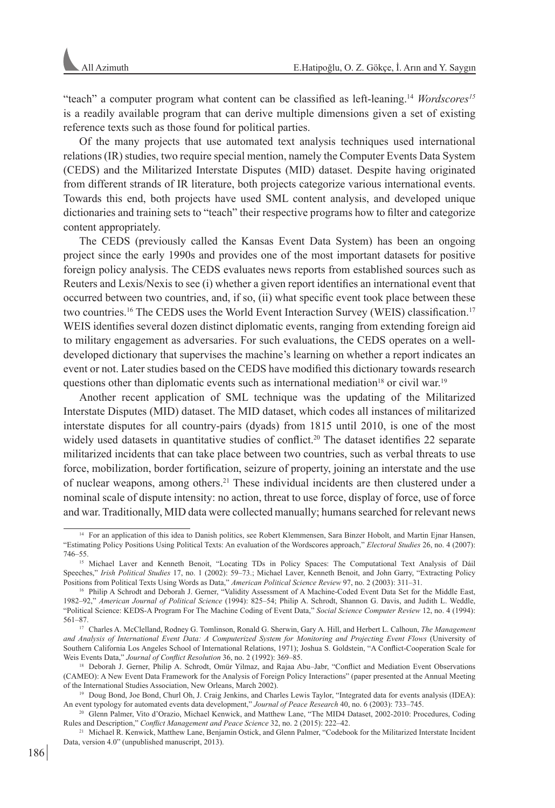"teach" a computer program what content can be classified as left-leaning.14 *Wordscores<sup>15</sup>* is a readily available program that can derive multiple dimensions given a set of existing reference texts such as those found for political parties.

Of the many projects that use automated text analysis techniques used international relations (IR) studies, two require special mention, namely the Computer Events Data System (CEDS) and the Militarized Interstate Disputes (MID) dataset. Despite having originated from different strands of IR literature, both projects categorize various international events. Towards this end, both projects have used SML content analysis, and developed unique dictionaries and training sets to "teach" their respective programs how to filter and categorize content appropriately.

The CEDS (previously called the Kansas Event Data System) has been an ongoing project since the early 1990s and provides one of the most important datasets for positive foreign policy analysis. The CEDS evaluates news reports from established sources such as Reuters and Lexis/Nexis to see (i) whether a given report identifies an international event that occurred between two countries, and, if so, (ii) what specific event took place between these two countries.16 The CEDS uses the World Event Interaction Survey (WEIS) classification.17 WEIS identifies several dozen distinct diplomatic events, ranging from extending foreign aid to military engagement as adversaries. For such evaluations, the CEDS operates on a welldeveloped dictionary that supervises the machine's learning on whether a report indicates an event or not. Later studies based on the CEDS have modified this dictionary towards research questions other than diplomatic events such as international mediation<sup>18</sup> or civil war.<sup>19</sup>

Another recent application of SML technique was the updating of the Militarized Interstate Disputes (MID) dataset. The MID dataset, which codes all instances of militarized interstate disputes for all country-pairs (dyads) from 1815 until 2010, is one of the most widely used datasets in quantitative studies of conflict.<sup>20</sup> The dataset identifies 22 separate militarized incidents that can take place between two countries, such as verbal threats to use force, mobilization, border fortification, seizure of property, joining an interstate and the use of nuclear weapons, among others.<sup>21</sup> These individual incidents are then clustered under a nominal scale of dispute intensity: no action, threat to use force, display of force, use of force and war. Traditionally, MID data were collected manually; humans searched for relevant news

<sup>14</sup> For an application of this idea to Danish politics, see Robert Klemmensen, Sara Binzer Hobolt, and Martin Ejnar Hansen, "Estimating Policy Positions Using Political Texts: An evaluation of the Wordscores approach," *Electoral Studies* 26, no. 4 (2007): 746–55.

<sup>&</sup>lt;sup>15</sup> Michael Laver and Kenneth Benoit, "Locating TDs in Policy Spaces: The Computational Text Analysis of Dáil Speeches," *Irish Political Studies* 17, no. 1 (2002): 59–73.; Michael Laver, Kenneth Benoit, and John Garry, "Extracting Policy Positions from Political Texts Using Words as Data," *American Political Science Review* 97, no. 2 (2003): 311–31.

<sup>16</sup> Philip A Schrodt and Deborah J. Gerner, "Validity Assessment of A Machine-Coded Event Data Set for the Middle East, 1982–92," *American Journal of Political Science* (1994): 825–54; Philip A. Schrodt, Shannon G. Davis, and Judith L. Weddle, "Political Science: KEDS-A Program For The Machine Coding of Event Data," *Social Science Computer Review* 12, no. 4 (1994): 561–87.

<sup>17</sup> Charles A. McClelland, Rodney G. Tomlinson, Ronald G. Sherwin, Gary A. Hill, and Herbert L. Calhoun, *The Management and Analysis of International Event Data: A Computerized System for Monitoring and Projecting Event Flows* (University of Southern California Los Angeles School of International Relations, 1971); Joshua S. Goldstein, "A Conflict-Cooperation Scale for Weis Events Data," *Journal of Conflict Resolution* 36, no. 2 (1992): 369–85.

<sup>&</sup>lt;sup>18</sup> Deborah J. Gerner, Philip A. Schrodt, Omür Yilmaz, and Rajaa Abu–Jabr, "Conflict and Mediation Event Observations (CAMEO): A New Event Data Framework for the Analysis of Foreign Policy Interactions" (paper presented at the Annual Meeting of the International Studies Association, New Orleans, March 2002).

<sup>19</sup> Doug Bond, Joe Bond, Churl Oh, J. Craig Jenkins, and Charles Lewis Taylor, "Integrated data for events analysis (IDEA): An event typology for automated events data development," *Journal of Peace Research* 40, no. 6 (2003): 733–745.

<sup>20</sup> Glenn Palmer, Vito d'Orazio, Michael Kenwick, and Matthew Lane, "The MID4 Dataset, 2002-2010: Procedures, Coding Rules and Description," *Conflict Management and Peace Science* 32, no. 2 (2015): 222–42.

<sup>21</sup> Michael R. Kenwick, Matthew Lane, Benjamin Ostick, and Glenn Palmer, "Codebook for the Militarized Interstate Incident Data, version 4.0" (unpublished manuscript, 2013).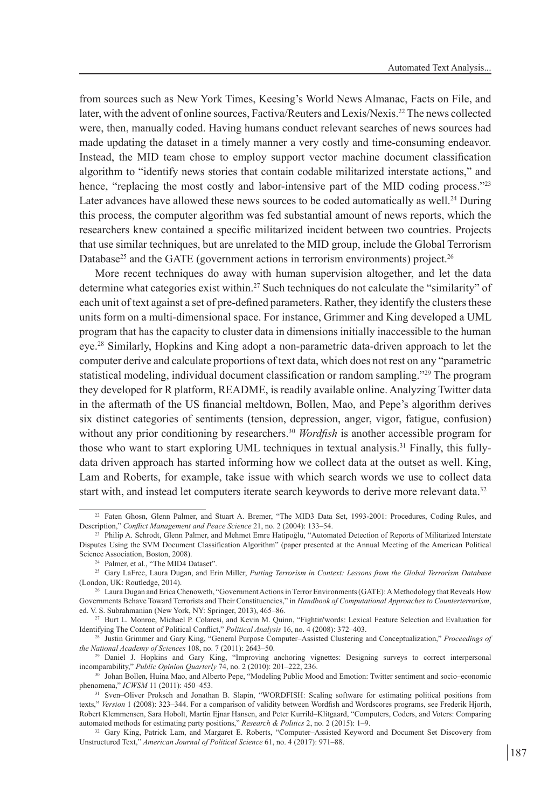from sources such as New York Times, Keesing's World News Almanac, Facts on File, and later, with the advent of online sources, Factiva/Reuters and Lexis/Nexis.<sup>22</sup> The news collected were, then, manually coded. Having humans conduct relevant searches of news sources had made updating the dataset in a timely manner a very costly and time-consuming endeavor. Instead, the MID team chose to employ support vector machine document classification algorithm to "identify news stories that contain codable militarized interstate actions," and hence, "replacing the most costly and labor-intensive part of the MID coding process."<sup>23</sup> Later advances have allowed these news sources to be coded automatically as well.24 During this process, the computer algorithm was fed substantial amount of news reports, which the researchers knew contained a specific militarized incident between two countries. Projects that use similar techniques, but are unrelated to the MID group, include the Global Terrorism Database<sup>25</sup> and the GATE (government actions in terrorism environments) project.<sup>26</sup>

More recent techniques do away with human supervision altogether, and let the data determine what categories exist within.27 Such techniques do not calculate the "similarity" of each unit of text against a set of pre-defined parameters. Rather, they identify the clusters these units form on a multi-dimensional space. For instance, Grimmer and King developed a UML program that has the capacity to cluster data in dimensions initially inaccessible to the human eye.<sup>28</sup> Similarly, Hopkins and King adopt a non-parametric data-driven approach to let the computer derive and calculate proportions of text data, which does not rest on any "parametric statistical modeling, individual document classification or random sampling."29 The program they developed for R platform, README, is readily available online. Analyzing Twitter data in the aftermath of the US financial meltdown, Bollen, Mao, and Pepe's algorithm derives six distinct categories of sentiments (tension, depression, anger, vigor, fatigue, confusion) without any prior conditioning by researchers.<sup>30</sup> *Wordfish* is another accessible program for those who want to start exploring UML techniques in textual analysis.<sup>31</sup> Finally, this fullydata driven approach has started informing how we collect data at the outset as well. King, Lam and Roberts, for example, take issue with which search words we use to collect data start with, and instead let computers iterate search keywords to derive more relevant data.<sup>32</sup>

<sup>22</sup> Faten Ghosn, Glenn Palmer, and Stuart A. Bremer, "The MID3 Data Set, 1993-2001: Procedures, Coding Rules, and Description," *Conflict Management and Peace Science* 21, no. 2 (2004): 133–54.

<sup>&</sup>lt;sup>23</sup> Philip A. Schrodt, Glenn Palmer, and Mehmet Emre Hatipoğlu, "Automated Detection of Reports of Militarized Interstate Disputes Using the SVM Document Classification Algorithm" (paper presented at the Annual Meeting of the American Political Science Association, Boston, 2008).

<sup>&</sup>lt;sup>24</sup> Palmer, et al., "The MID4 Dataset".

<sup>25</sup> Gary LaFree, Laura Dugan, and Erin Miller, *Putting Terrorism in Context: Lessons from the Global Terrorism Database* (London, UK: Routledge, 2014).

<sup>&</sup>lt;sup>26</sup> Laura Dugan and Erica Chenoweth, "Government Actions in Terror Environments (GATE): A Methodology that Reveals How Governments Behave Toward Terrorists and Their Constituencies," in *Handbook of Computational Approaches to Counterterrorism*, ed. V. S. Subrahmanian (New York, NY: Springer, 2013), 465–86.

<sup>27</sup> Burt L. Monroe, Michael P. Colaresi, and Kevin M. Quinn, "Fightin'words: Lexical Feature Selection and Evaluation for Identifying The Content of Political Conflict," *Political Analysis* 16, no. 4 (2008): 372–403.

<sup>28</sup> Justin Grimmer and Gary King, "General Purpose Computer–Assisted Clustering and Conceptualization," *Proceedings of the National Academy of Sciences* 108, no. 7 (2011): 2643–50.

<sup>&</sup>lt;sup>29</sup> Daniel J. Hopkins and Gary King, "Improving anchoring vignettes: Designing surveys to correct interpersonal incomparability," *Public Opinion Quarterly* 74, no. 2 (2010): 201–222, 236.

<sup>30</sup> Johan Bollen, Huina Mao, and Alberto Pepe, "Modeling Public Mood and Emotion: Twitter sentiment and socio–economic phenomena," *ICWSM* 11 (2011): 450–453.

<sup>31</sup> Sven–Oliver Proksch and Jonathan B. Slapin, "WORDFISH: Scaling software for estimating political positions from texts," *Version* 1 (2008): 323–344. For a comparison of validity between Wordfish and Wordscores programs, see Frederik Hjorth, Robert Klemmensen, Sara Hobolt, Martin Ejnar Hansen, and Peter Kurrild–Klitgaard, "Computers, Coders, and Voters: Comparing automated methods for estimating party positions," *Research & Politics* 2, no. 2 (2015): 1–9.

<sup>32</sup> Gary King, Patrick Lam, and Margaret E. Roberts, "Computer–Assisted Keyword and Document Set Discovery from Unstructured Text," *American Journal of Political Science* 61, no. 4 (2017): 971–88.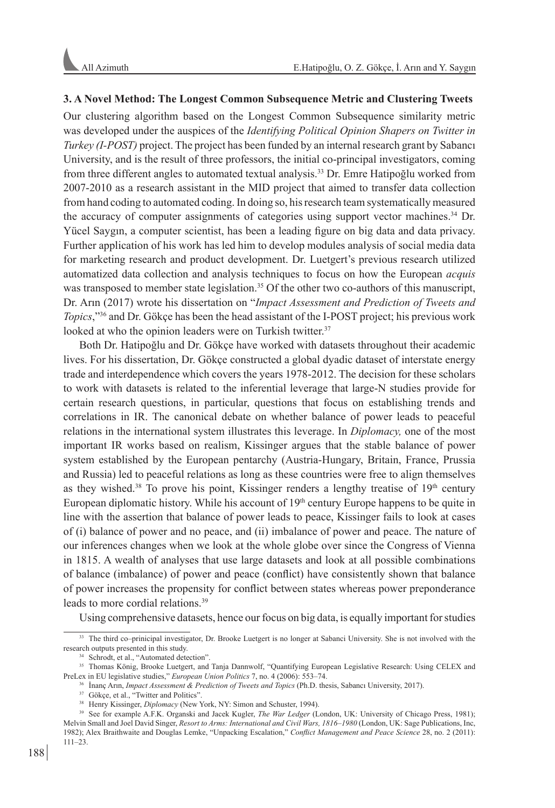## **3. A Novel Method: The Longest Common Subsequence Metric and Clustering Tweets**

Our clustering algorithm based on the Longest Common Subsequence similarity metric was developed under the auspices of the *Identifying Political Opinion Shapers on Twitter in Turkey (I-POST)* project. The project has been funded by an internal research grant by Sabancı University, and is the result of three professors, the initial co-principal investigators, coming from three different angles to automated textual analysis.<sup>33</sup> Dr. Emre Hatipoğlu worked from 2007-2010 as a research assistant in the MID project that aimed to transfer data collection from hand coding to automated coding. In doing so, his research team systematically measured the accuracy of computer assignments of categories using support vector machines.34 Dr. Yücel Saygın, a computer scientist, has been a leading figure on big data and data privacy. Further application of his work has led him to develop modules analysis of social media data for marketing research and product development. Dr. Luetgert's previous research utilized automatized data collection and analysis techniques to focus on how the European *acquis* was transposed to member state legislation.<sup>35</sup> Of the other two co-authors of this manuscript, Dr. Arın (2017) wrote his dissertation on "*Impact Assessment and Prediction of Tweets and Topics*,"36 and Dr. Gökçe has been the head assistant of the I-POST project; his previous work looked at who the opinion leaders were on Turkish twitter.<sup>37</sup>

Both Dr. Hatipoğlu and Dr. Gökçe have worked with datasets throughout their academic lives. For his dissertation, Dr. Gökçe constructed a global dyadic dataset of interstate energy trade and interdependence which covers the years 1978-2012. The decision for these scholars to work with datasets is related to the inferential leverage that large-N studies provide for certain research questions, in particular, questions that focus on establishing trends and correlations in IR. The canonical debate on whether balance of power leads to peaceful relations in the international system illustrates this leverage. In *Diplomacy,* one of the most important IR works based on realism, Kissinger argues that the stable balance of power system established by the European pentarchy (Austria-Hungary, Britain, France, Prussia and Russia) led to peaceful relations as long as these countries were free to align themselves as they wished.<sup>38</sup> To prove his point, Kissinger renders a lengthy treatise of  $19<sup>th</sup>$  century European diplomatic history. While his account of  $19<sup>th</sup>$  century Europe happens to be quite in line with the assertion that balance of power leads to peace, Kissinger fails to look at cases of (i) balance of power and no peace, and (ii) imbalance of power and peace. The nature of our inferences changes when we look at the whole globe over since the Congress of Vienna in 1815. A wealth of analyses that use large datasets and look at all possible combinations of balance (imbalance) of power and peace (conflict) have consistently shown that balance of power increases the propensity for conflict between states whereas power preponderance leads to more cordial relations.39

Using comprehensive datasets, hence our focus on big data, is equally important for studies

<sup>33</sup> The third co–prinicipal investigator, Dr. Brooke Luetgert is no longer at Sabanci University. She is not involved with the research outputs presented in this study.

<sup>&</sup>lt;sup>34</sup> Schrodt, et al., "Automated detection"

<sup>35</sup> Thomas König, Brooke Luetgert, and Tanja Dannwolf, "Quantifying European Legislative Research: Using CELEX and PreLex in EU legislative studies," *European Union Politics* 7, no. 4 (2006): 553–74.

<sup>36</sup> İnanç Arın, *Impact Assessment & Prediction of Tweets and Topics* (Ph.D. thesis, Sabancı University, 2017).

<sup>&</sup>lt;sup>37</sup> Gökçe, et al., "Twitter and Politics".

<sup>&</sup>lt;sup>38</sup> Henry Kissinger, *Diplomacy* (New York, NY: Simon and Schuster, 1994).

<sup>&</sup>lt;sup>39</sup> See for example A.F.K. Organski and Jacek Kugler, *The War Ledger* (London, UK: University of Chicago Press, 1981); Melvin Small and Joel David Singer, *Resort to Arms: International and Civil Wars, 1816–1980* (London, UK: Sage Publications, Inc, 1982); Alex Braithwaite and Douglas Lemke, "Unpacking Escalation," *Conflict Management and Peace Science* 28, no. 2 (2011): 111–23.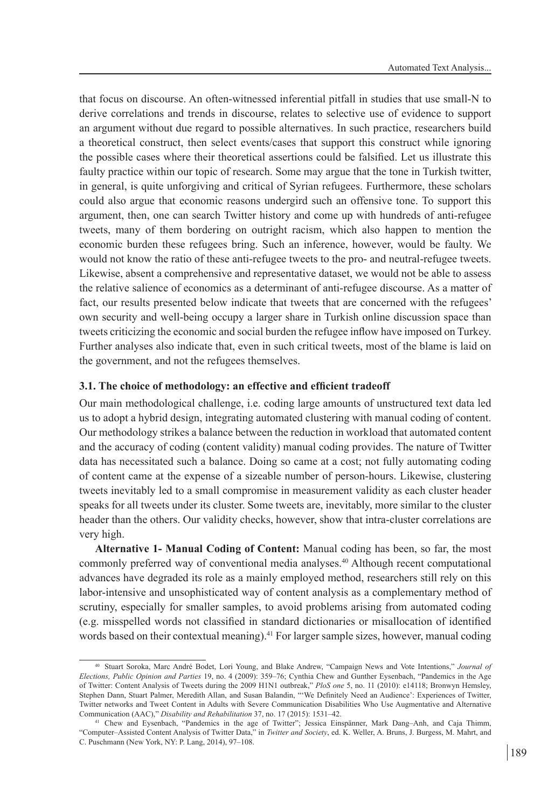that focus on discourse. An often-witnessed inferential pitfall in studies that use small-N to derive correlations and trends in discourse, relates to selective use of evidence to support an argument without due regard to possible alternatives. In such practice, researchers build a theoretical construct, then select events/cases that support this construct while ignoring the possible cases where their theoretical assertions could be falsified. Let us illustrate this faulty practice within our topic of research. Some may argue that the tone in Turkish twitter, in general, is quite unforgiving and critical of Syrian refugees. Furthermore, these scholars could also argue that economic reasons undergird such an offensive tone. To support this argument, then, one can search Twitter history and come up with hundreds of anti-refugee tweets, many of them bordering on outright racism, which also happen to mention the economic burden these refugees bring. Such an inference, however, would be faulty. We would not know the ratio of these anti-refugee tweets to the pro- and neutral-refugee tweets. Likewise, absent a comprehensive and representative dataset, we would not be able to assess the relative salience of economics as a determinant of anti-refugee discourse. As a matter of fact, our results presented below indicate that tweets that are concerned with the refugees' own security and well-being occupy a larger share in Turkish online discussion space than tweets criticizing the economic and social burden the refugee inflow have imposed on Turkey. Further analyses also indicate that, even in such critical tweets, most of the blame is laid on the government, and not the refugees themselves.

## **3.1. The choice of methodology: an effective and efficient tradeoff**

Our main methodological challenge, i.e. coding large amounts of unstructured text data led us to adopt a hybrid design, integrating automated clustering with manual coding of content. Our methodology strikes a balance between the reduction in workload that automated content and the accuracy of coding (content validity) manual coding provides. The nature of Twitter data has necessitated such a balance. Doing so came at a cost; not fully automating coding of content came at the expense of a sizeable number of person-hours. Likewise, clustering tweets inevitably led to a small compromise in measurement validity as each cluster header speaks for all tweets under its cluster. Some tweets are, inevitably, more similar to the cluster header than the others. Our validity checks, however, show that intra-cluster correlations are very high.

**Alternative 1- Manual Coding of Content:** Manual coding has been, so far, the most commonly preferred way of conventional media analyses.<sup>40</sup> Although recent computational advances have degraded its role as a mainly employed method, researchers still rely on this labor-intensive and unsophisticated way of content analysis as a complementary method of scrutiny, especially for smaller samples, to avoid problems arising from automated coding (e.g. misspelled words not classified in standard dictionaries or misallocation of identified words based on their contextual meaning).<sup>41</sup> For larger sample sizes, however, manual coding

<sup>40</sup> Stuart Soroka, Marc André Bodet, Lori Young, and Blake Andrew, "Campaign News and Vote Intentions," *Journal of Elections, Public Opinion and Parties* 19, no. 4 (2009): 359–76; Cynthia Chew and Gunther Eysenbach, "Pandemics in the Age of Twitter: Content Analysis of Tweets during the 2009 H1N1 outbreak," *PloS one* 5, no. 11 (2010): e14118; Bronwyn Hemsley, Stephen Dann, Stuart Palmer, Meredith Allan, and Susan Balandin, "'We Definitely Need an Audience': Experiences of Twitter, Twitter networks and Tweet Content in Adults with Severe Communication Disabilities Who Use Augmentative and Alternative Communication (AAC)," *Disability and Rehabilitation* 37, no. 17 (2015): 1531–42.

<sup>41</sup> Chew and Eysenbach, "Pandemics in the age of Twitter"; Jessica Einspänner, Mark Dang–Anh, and Caja Thimm, "Computer–Assisted Content Analysis of Twitter Data," in *Twitter and Society*, ed. K. Weller, A. Bruns, J. Burgess, M. Mahrt, and C. Puschmann (New York, NY: P. Lang, 2014), 97–108.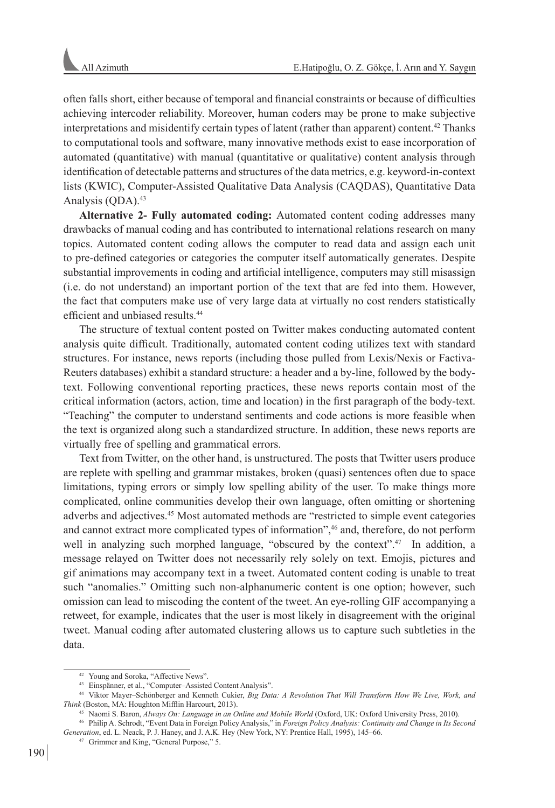often falls short, either because of temporal and financial constraints or because of difficulties achieving intercoder reliability. Moreover, human coders may be prone to make subjective interpretations and misidentify certain types of latent (rather than apparent) content.42 Thanks to computational tools and software, many innovative methods exist to ease incorporation of automated (quantitative) with manual (quantitative or qualitative) content analysis through identification of detectable patterns and structures of the data metrics, e.g. keyword-in-context lists (KWIC), Computer-Assisted Qualitative Data Analysis (CAQDAS), Quantitative Data Analysis (QDA).<sup>43</sup>

**Alternative 2- Fully automated coding:** Automated content coding addresses many drawbacks of manual coding and has contributed to international relations research on many topics. Automated content coding allows the computer to read data and assign each unit to pre-defined categories or categories the computer itself automatically generates. Despite substantial improvements in coding and artificial intelligence, computers may still misassign (i.e. do not understand) an important portion of the text that are fed into them. However, the fact that computers make use of very large data at virtually no cost renders statistically efficient and unbiased results.44

The structure of textual content posted on Twitter makes conducting automated content analysis quite difficult. Traditionally, automated content coding utilizes text with standard structures. For instance, news reports (including those pulled from Lexis/Nexis or Factiva-Reuters databases) exhibit a standard structure: a header and a by-line, followed by the bodytext. Following conventional reporting practices, these news reports contain most of the critical information (actors, action, time and location) in the first paragraph of the body-text. "Teaching" the computer to understand sentiments and code actions is more feasible when the text is organized along such a standardized structure. In addition, these news reports are virtually free of spelling and grammatical errors.

Text from Twitter, on the other hand, is unstructured. The posts that Twitter users produce are replete with spelling and grammar mistakes, broken (quasi) sentences often due to space limitations, typing errors or simply low spelling ability of the user. To make things more complicated, online communities develop their own language, often omitting or shortening adverbs and adjectives.45 Most automated methods are "restricted to simple event categories and cannot extract more complicated types of information",<sup>46</sup> and, therefore, do not perform well in analyzing such morphed language, "obscured by the context".<sup>47</sup> In addition, a message relayed on Twitter does not necessarily rely solely on text. Emojis, pictures and gif animations may accompany text in a tweet. Automated content coding is unable to treat such "anomalies." Omitting such non-alphanumeric content is one option; however, such omission can lead to miscoding the content of the tweet. An eye-rolling GIF accompanying a retweet, for example, indicates that the user is most likely in disagreement with the original tweet. Manual coding after automated clustering allows us to capture such subtleties in the data.

<sup>42</sup> Young and Soroka, "Affective News".

<sup>43</sup> Einspänner, et al., "Computer–Assisted Content Analysis".

<sup>44</sup> Viktor Mayer–Schönberger and Kenneth Cukier, *Big Data: A Revolution That Will Transform How We Live, Work, and Think* (Boston, MA: Houghton Mifflin Harcourt, 2013).

<sup>45</sup> Naomi S. Baron, *Always On: Language in an Online and Mobile World* (Oxford, UK: Oxford University Press, 2010).

<sup>46</sup> Philip A. Schrodt, "Event Data in Foreign Policy Analysis," in *Foreign Policy Analysis: Continuity and Change in Its Second Generation*, ed. L. Neack, P. J. Haney, and J. A.K. Hey (New York, NY: Prentice Hall, 1995), 145–66.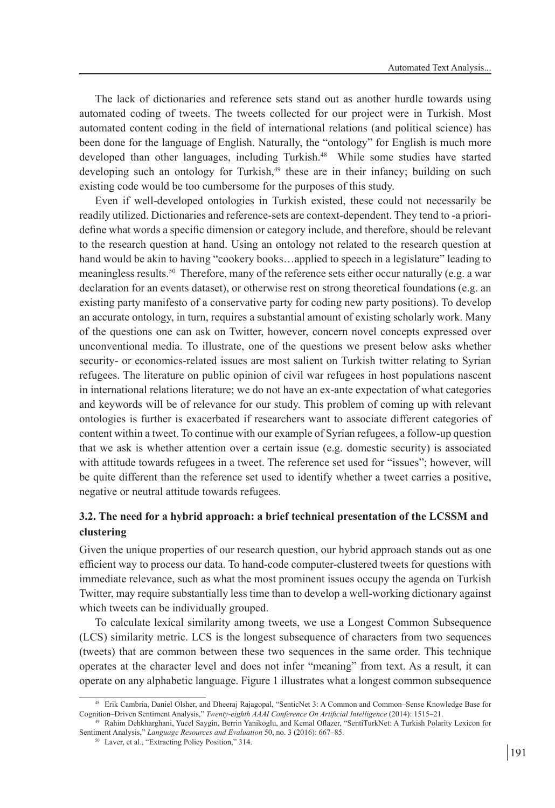The lack of dictionaries and reference sets stand out as another hurdle towards using automated coding of tweets. The tweets collected for our project were in Turkish. Most automated content coding in the field of international relations (and political science) has been done for the language of English. Naturally, the "ontology" for English is much more developed than other languages, including Turkish.48 While some studies have started developing such an ontology for Turkish,<sup>49</sup> these are in their infancy; building on such existing code would be too cumbersome for the purposes of this study.

Even if well-developed ontologies in Turkish existed, these could not necessarily be readily utilized. Dictionaries and reference-sets are context-dependent. They tend to -a prioridefine what words a specific dimension or category include, and therefore, should be relevant to the research question at hand. Using an ontology not related to the research question at hand would be akin to having "cookery books...applied to speech in a legislature" leading to meaningless results.<sup>50</sup> Therefore, many of the reference sets either occur naturally (e.g. a war declaration for an events dataset), or otherwise rest on strong theoretical foundations (e.g. an existing party manifesto of a conservative party for coding new party positions). To develop an accurate ontology, in turn, requires a substantial amount of existing scholarly work. Many of the questions one can ask on Twitter, however, concern novel concepts expressed over unconventional media. To illustrate, one of the questions we present below asks whether security- or economics-related issues are most salient on Turkish twitter relating to Syrian refugees. The literature on public opinion of civil war refugees in host populations nascent in international relations literature; we do not have an ex-ante expectation of what categories and keywords will be of relevance for our study. This problem of coming up with relevant ontologies is further is exacerbated if researchers want to associate different categories of content within a tweet. To continue with our example of Syrian refugees, a follow-up question that we ask is whether attention over a certain issue (e.g. domestic security) is associated with attitude towards refugees in a tweet. The reference set used for "issues"; however, will be quite different than the reference set used to identify whether a tweet carries a positive, negative or neutral attitude towards refugees.

# **3.2. The need for a hybrid approach: a brief technical presentation of the LCSSM and clustering**

Given the unique properties of our research question, our hybrid approach stands out as one efficient way to process our data. To hand-code computer-clustered tweets for questions with immediate relevance, such as what the most prominent issues occupy the agenda on Turkish Twitter, may require substantially less time than to develop a well-working dictionary against which tweets can be individually grouped.

To calculate lexical similarity among tweets, we use a Longest Common Subsequence (LCS) similarity metric. LCS is the longest subsequence of characters from two sequences (tweets) that are common between these two sequences in the same order. This technique operates at the character level and does not infer "meaning" from text. As a result, it can operate on any alphabetic language. Figure 1 illustrates what a longest common subsequence

<sup>48</sup> Erik Cambria, Daniel Olsher, and Dheeraj Rajagopal, "SenticNet 3: A Common and Common–Sense Knowledge Base for Cognition–Driven Sentiment Analysis," *Twenty-eighth AAAI Conference On Artificial Intelligence* (2014): 1515–21.

<sup>49</sup> Rahim Dehkharghani, Yucel Saygin, Berrin Yanikoglu, and Kemal Oflazer, "SentiTurkNet: A Turkish Polarity Lexicon for Sentiment Analysis," *Language Resources and Evaluation* 50, no. 3 (2016): 667–85.

<sup>50</sup> Laver, et al., "Extracting Policy Position," 314.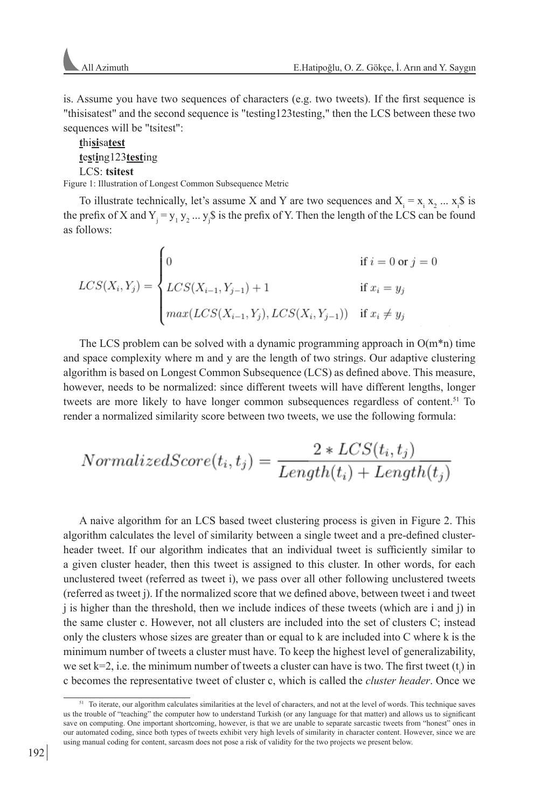is. Assume you have two sequences of characters (e.g. two tweets). If the first sequence is "thisisatest" and the second sequence is "testing123testing," then the LCS between these two sequences will be "tsitest":

# **t**hi**si**sa**test t**e**s**t**i**ng123**test**ing LCS: **tsitest**

Figure 1: Illustration of Longest Common Subsequence Metric

To illustrate technically, let's assume X and Y are two sequences and  $X_i = x_i x_2 ... x_i$  is the prefix of X and  $Y_j = y_1 y_2 ... y_j$ \$ is the prefix of Y. Then the length of the LCS can be found as follows:

$$
LCS(X_i, Y_j) = \begin{cases} 0 & \text{if } i = 0 \text{ or } j = 0\\ LCS(X_{i-1}, Y_{j-1}) + 1 & \text{if } x_i = y_j\\ max(LCS(X_{i-1}, Y_j), LCS(X_i, Y_{j-1})) & \text{if } x_i \neq y_j \end{cases}
$$

The LCS problem can be solved with a dynamic programming approach in  $O(m^*n)$  time and space complexity where m and y are the length of two strings. Our adaptive clustering algorithm is based on Longest Common Subsequence (LCS) as defined above. This measure, however, needs to be normalized: since different tweets will have different lengths, longer tweets are more likely to have longer common subsequences regardless of content.<sup>51</sup> To render a normalized similarity score between two tweets, we use the following formula:

$$
NormalizedScore(t_i, t_j) = \frac{2 * LCS(t_i, t_j)}{Length(t_i) + Length(t_j)}
$$

A naive algorithm for an LCS based tweet clustering process is given in Figure 2. This algorithm calculates the level of similarity between a single tweet and a pre-defined clusterheader tweet. If our algorithm indicates that an individual tweet is sufficiently similar to a given cluster header, then this tweet is assigned to this cluster. In other words, for each unclustered tweet (referred as tweet i), we pass over all other following unclustered tweets (referred as tweet j). If the normalized score that we defined above, between tweet i and tweet j is higher than the threshold, then we include indices of these tweets (which are i and j) in the same cluster c. However, not all clusters are included into the set of clusters C; instead only the clusters whose sizes are greater than or equal to k are included into C where k is the minimum number of tweets a cluster must have. To keep the highest level of generalizability, we set  $k=2$ , i.e. the minimum number of tweets a cluster can have is two. The first tweet  $(t<sub>i</sub>)$  in c becomes the representative tweet of cluster c, which is called the *cluster header*. Once we

<sup>51</sup> To iterate, our algorithm calculates similarities at the level of characters, and not at the level of words. This technique saves us the trouble of "teaching" the computer how to understand Turkish (or any language for that matter) and allows us to significant save on computing. One important shortcoming, however, is that we are unable to separate sarcastic tweets from "honest" ones in our automated coding, since both types of tweets exhibit very high levels of similarity in character content. However, since we are using manual coding for content, sarcasm does not pose a risk of validity for the two projects we present below.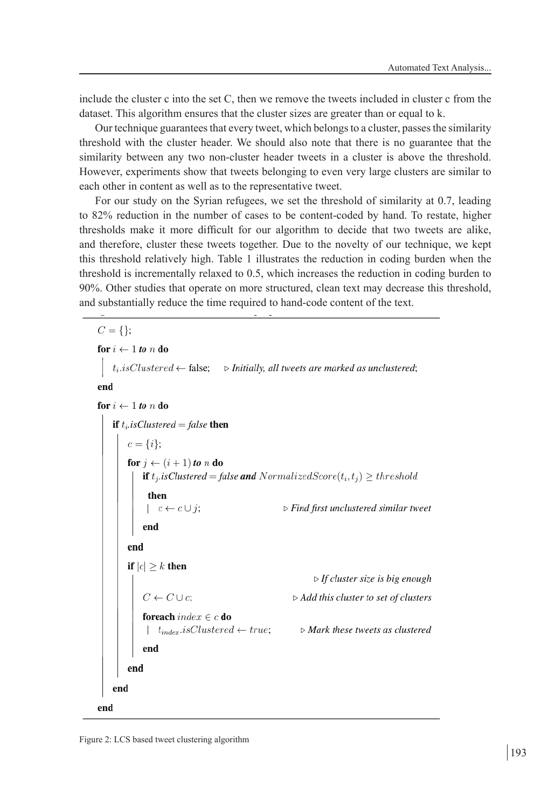include the cluster c into the set C, then we remove the tweets included in cluster c from the dataset. This algorithm ensures that the cluster sizes are greater than or equal to k.

Our technique guarantees that every tweet, which belongs to a cluster, passes the similarity threshold with the cluster header. We should also note that there is no guarantee that the similarity between any two non-cluster header tweets in a cluster is above the threshold. However, experiments show that tweets belonging to even very large clusters are similar to each other in content as well as to the representative tweet.

For our study on the Syrian refugees, we set the threshold of similarity at 0.7, leading to 82% reduction in the number of cases to be content-coded by hand. To restate, higher thresholds make it more difficult for our algorithm to decide that two tweets are alike, and therefore, cluster these tweets together. Due to the novelty of our technique, we kept this threshold relatively high. Table 1 illustrates the reduction in coding burden when the threshold is incrementally relaxed to 0.5, which increases the reduction in coding burden to 90%. Other studies that operate on more structured, clean text may decrease this threshold, and substantially reduce the time required to hand-code content of the text.

 $C = \{\};$ for  $i \leftarrow 1$  to n do  $t_i.isClustered \leftarrow false;$   $\triangleright$  Initially, all tweets are marked as unclustered; end for  $i \leftarrow 1$  to n do **if**  $t_i$  *is Clustered* = *false* **then**  $c = \{i\};$ for  $j \leftarrow (i + 1)$  to n do **if**  $t_j$ .isClustered = false **and** NormalizedScore $(t_i, t_j) \geq th$ reshold then  $c \leftarrow c \cup j;$  $\triangleright$  Find first unclustered similar tweet end end if  $|c| \geq k$  then  $\triangleright$  If cluster size is big enough  $C \leftarrow C \cup c$ ;  $\triangleright$  Add this cluster to set of clusters **foreach** index  $\in$  c **do**  $\vert t_{index}.isClustered \leftarrow true;$  $\triangleright$  Mark these tweets as clustered end end end end

Figure 2: LCS based tweet clustering algorithm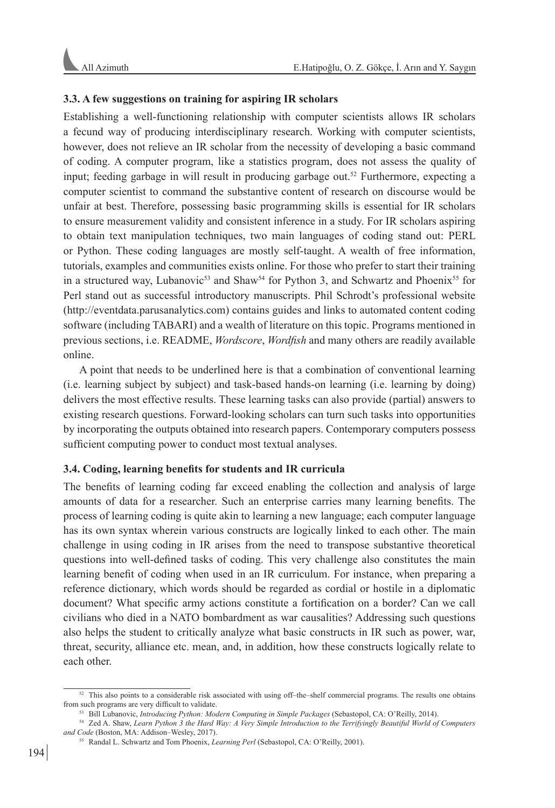## **3.3. A few suggestions on training for aspiring IR scholars**

Establishing a well-functioning relationship with computer scientists allows IR scholars a fecund way of producing interdisciplinary research. Working with computer scientists, however, does not relieve an IR scholar from the necessity of developing a basic command of coding. A computer program, like a statistics program, does not assess the quality of input; feeding garbage in will result in producing garbage out.<sup>52</sup> Furthermore, expecting a computer scientist to command the substantive content of research on discourse would be unfair at best. Therefore, possessing basic programming skills is essential for IR scholars to ensure measurement validity and consistent inference in a study. For IR scholars aspiring to obtain text manipulation techniques, two main languages of coding stand out: PERL or Python. These coding languages are mostly self-taught. A wealth of free information, tutorials, examples and communities exists online. For those who prefer to start their training in a structured way, Lubanovic<sup>53</sup> and Shaw<sup>54</sup> for Python 3, and Schwartz and Phoenix<sup>55</sup> for Perl stand out as successful introductory manuscripts. Phil Schrodt's professional website (http://eventdata.parusanalytics.com) contains guides and links to automated content coding software (including TABARI) and a wealth of literature on this topic. Programs mentioned in previous sections, i.e. README, *Wordscore*, *Wordfish* and many others are readily available online.

A point that needs to be underlined here is that a combination of conventional learning (i.e. learning subject by subject) and task-based hands-on learning (i.e. learning by doing) delivers the most effective results. These learning tasks can also provide (partial) answers to existing research questions. Forward-looking scholars can turn such tasks into opportunities by incorporating the outputs obtained into research papers. Contemporary computers possess sufficient computing power to conduct most textual analyses.

## **3.4. Coding, learning benefits for students and IR curricula**

The benefits of learning coding far exceed enabling the collection and analysis of large amounts of data for a researcher. Such an enterprise carries many learning benefits. The process of learning coding is quite akin to learning a new language; each computer language has its own syntax wherein various constructs are logically linked to each other. The main challenge in using coding in IR arises from the need to transpose substantive theoretical questions into well-defined tasks of coding. This very challenge also constitutes the main learning benefit of coding when used in an IR curriculum. For instance, when preparing a reference dictionary, which words should be regarded as cordial or hostile in a diplomatic document? What specific army actions constitute a fortification on a border? Can we call civilians who died in a NATO bombardment as war causalities? Addressing such questions also helps the student to critically analyze what basic constructs in IR such as power, war, threat, security, alliance etc. mean, and, in addition, how these constructs logically relate to each other.

<sup>52</sup> This also points to a considerable risk associated with using off–the–shelf commercial programs. The results one obtains from such programs are very difficult to validate.

<sup>53</sup> Bill Lubanovic, *Introducing Python: Modern Computing in Simple Packages* (Sebastopol, CA: O'Reilly, 2014).

<sup>54</sup> Zed A. Shaw, *Learn Python 3 the Hard Way: A Very Simple Introduction to the Terrifyingly Beautiful World of Computers and Code* (Boston, MA: Addison–Wesley, 2017).

<sup>55</sup> Randal L. Schwartz and Tom Phoenix, *Learning Perl* (Sebastopol, CA: O'Reilly, 2001).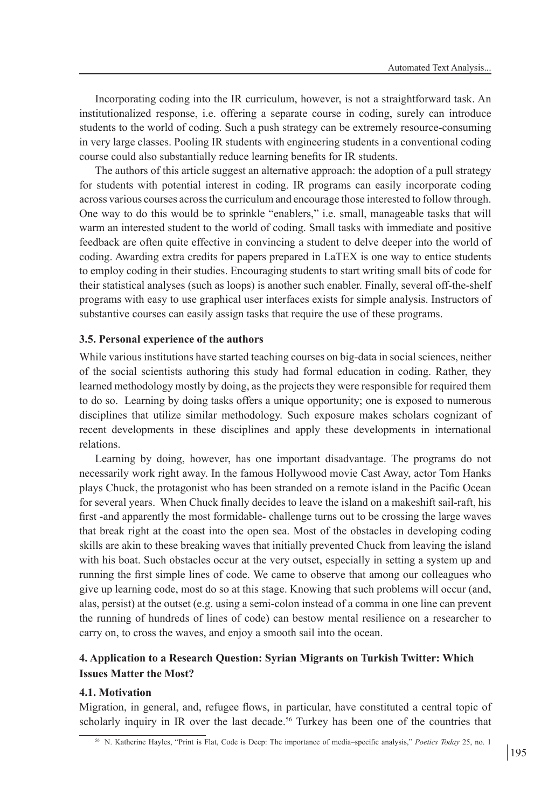Incorporating coding into the IR curriculum, however, is not a straightforward task. An institutionalized response, i.e. offering a separate course in coding, surely can introduce students to the world of coding. Such a push strategy can be extremely resource-consuming in very large classes. Pooling IR students with engineering students in a conventional coding course could also substantially reduce learning benefits for IR students.

The authors of this article suggest an alternative approach: the adoption of a pull strategy for students with potential interest in coding. IR programs can easily incorporate coding across various courses across the curriculum and encourage those interested to follow through. One way to do this would be to sprinkle "enablers," i.e. small, manageable tasks that will warm an interested student to the world of coding. Small tasks with immediate and positive feedback are often quite effective in convincing a student to delve deeper into the world of coding. Awarding extra credits for papers prepared in LaTEX is one way to entice students to employ coding in their studies. Encouraging students to start writing small bits of code for their statistical analyses (such as loops) is another such enabler. Finally, several off-the-shelf programs with easy to use graphical user interfaces exists for simple analysis. Instructors of substantive courses can easily assign tasks that require the use of these programs.

## **3.5. Personal experience of the authors**

While various institutions have started teaching courses on big-data in social sciences, neither of the social scientists authoring this study had formal education in coding. Rather, they learned methodology mostly by doing, as the projects they were responsible for required them to do so. Learning by doing tasks offers a unique opportunity; one is exposed to numerous disciplines that utilize similar methodology. Such exposure makes scholars cognizant of recent developments in these disciplines and apply these developments in international relations.

Learning by doing, however, has one important disadvantage. The programs do not necessarily work right away. In the famous Hollywood movie Cast Away, actor Tom Hanks plays Chuck, the protagonist who has been stranded on a remote island in the Pacific Ocean for several years. When Chuck finally decides to leave the island on a makeshift sail-raft, his first -and apparently the most formidable- challenge turns out to be crossing the large waves that break right at the coast into the open sea. Most of the obstacles in developing coding skills are akin to these breaking waves that initially prevented Chuck from leaving the island with his boat. Such obstacles occur at the very outset, especially in setting a system up and running the first simple lines of code. We came to observe that among our colleagues who give up learning code, most do so at this stage. Knowing that such problems will occur (and, alas, persist) at the outset (e.g. using a semi-colon instead of a comma in one line can prevent the running of hundreds of lines of code) can bestow mental resilience on a researcher to carry on, to cross the waves, and enjoy a smooth sail into the ocean.

# **4. Application to a Research Question: Syrian Migrants on Turkish Twitter: Which Issues Matter the Most?**

## **4.1. Motivation**

Migration, in general, and, refugee flows, in particular, have constituted a central topic of scholarly inquiry in IR over the last decade.<sup>56</sup> Turkey has been one of the countries that

<sup>56</sup> N. Katherine Hayles, "Print is Flat, Code is Deep: The importance of media–specific analysis," *Poetics Today* 25, no. 1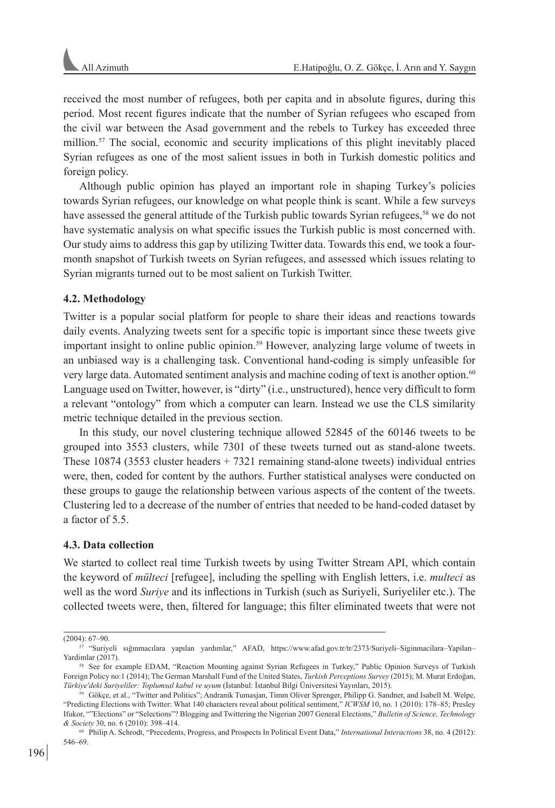received the most number of refugees, both per capita and in absolute figures, during this period. Most recent figures indicate that the number of Syrian refugees who escaped from the civil war between the Asad government and the rebels to Turkey has exceeded three million.<sup>57</sup> The social, economic and security implications of this plight inevitably placed Syrian refugees as one of the most salient issues in both in Turkish domestic politics and foreign policy.

Although public opinion has played an important role in shaping Turkey's policies towards Syrian refugees, our knowledge on what people think is scant. While a few surveys have assessed the general attitude of the Turkish public towards Syrian refugees,<sup>58</sup> we do not have systematic analysis on what specific issues the Turkish public is most concerned with. Our study aims to address this gap by utilizing Twitter data. Towards this end, we took a fourmonth snapshot of Turkish tweets on Syrian refugees, and assessed which issues relating to Syrian migrants turned out to be most salient on Turkish Twitter.

## **4.2. Methodology**

Twitter is a popular social platform for people to share their ideas and reactions towards daily events. Analyzing tweets sent for a specific topic is important since these tweets give important insight to online public opinion.59 However, analyzing large volume of tweets in an unbiased way is a challenging task. Conventional hand-coding is simply unfeasible for very large data. Automated sentiment analysis and machine coding of text is another option.<sup>60</sup> Language used on Twitter, however, is "dirty" (i.e., unstructured), hence very difficult to form a relevant "ontology" from which a computer can learn. Instead we use the CLS similarity metric technique detailed in the previous section.

In this study, our novel clustering technique allowed 52845 of the 60146 tweets to be grouped into 3553 clusters, while 7301 of these tweets turned out as stand-alone tweets. These  $10874$  (3553 cluster headers  $+7321$  remaining stand-alone tweets) individual entries were, then, coded for content by the authors. Further statistical analyses were conducted on these groups to gauge the relationship between various aspects of the content of the tweets. Clustering led to a decrease of the number of entries that needed to be hand-coded dataset by a factor of 5.5.

### **4.3. Data collection**

We started to collect real time Turkish tweets by using Twitter Stream API, which contain the keyword of *mülteci* [refugee], including the spelling with English letters, i.e. *multeci* as well as the word *Suriye* and its inflections in Turkish (such as Suriyeli, Suriyeliler etc.). The collected tweets were, then, filtered for language; this filter eliminated tweets that were not

<sup>(2004): 67–90.</sup>

<sup>57</sup> "Suriyeli sığınmacılara yapılan yardımlar," AFAD, https://www.afad.gov.tr/tr/2373/Suriyeli–Siginmacilara–Yapilan– Yardimlar (2017).

<sup>58</sup> See for example EDAM, "Reaction Mounting against Syrian Refugees in Turkey," Public Opinion Surveys of Turkish Foreign Policy no:1 (2014); The German Marshall Fund of the United States, *Turkish Perceptions Survey* (2015); M. Murat Erdoğan, *Türkiye'deki Suriyeliler: Toplumsal kabul ve uyum* (İstanbul: İstanbul Bilgi Üniversitesi Yayınları, 2015).

<sup>59</sup> Gökçe, et al., "Twitter and Politics"; Andranik Tumasjan, Timm Oliver Sprenger, Philipp G. Sandner, and Isabell M. Welpe, "Predicting Elections with Twitter: What 140 characters reveal about political sentiment," *ICWSM* 10, no. 1 (2010): 178–85; Presley Ifukor, ""Elections" or "Selections"? Blogging and Twittering the Nigerian 2007 General Elections," *Bulletin of Science, Technology & Society* 30, no. 6 (2010): 398–414.

<sup>60</sup> Philip A. Schrodt, "Precedents, Progress, and Prospects In Political Event Data," *International Interactions* 38, no. 4 (2012): 546–69.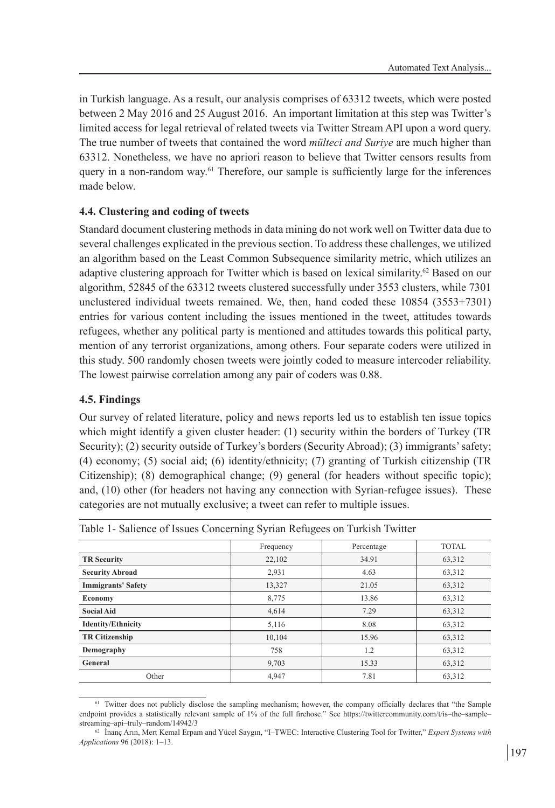in Turkish language. As a result, our analysis comprises of 63312 tweets, which were posted between 2 May 2016 and 25 August 2016. An important limitation at this step was Twitter's limited access for legal retrieval of related tweets via Twitter Stream API upon a word query. The true number of tweets that contained the word *mülteci and Suriye* are much higher than 63312. Nonetheless, we have no apriori reason to believe that Twitter censors results from query in a non-random way.61 Therefore, our sample is sufficiently large for the inferences made below.

# **4.4. Clustering and coding of tweets**

Standard document clustering methods in data mining do not work well on Twitter data due to several challenges explicated in the previous section. To address these challenges, we utilized an algorithm based on the Least Common Subsequence similarity metric, which utilizes an adaptive clustering approach for Twitter which is based on lexical similarity.<sup>62</sup> Based on our algorithm, 52845 of the 63312 tweets clustered successfully under 3553 clusters, while 7301 unclustered individual tweets remained. We, then, hand coded these 10854 (3553+7301) entries for various content including the issues mentioned in the tweet, attitudes towards refugees, whether any political party is mentioned and attitudes towards this political party, mention of any terrorist organizations, among others. Four separate coders were utilized in this study. 500 randomly chosen tweets were jointly coded to measure intercoder reliability. The lowest pairwise correlation among any pair of coders was 0.88.

# **4.5. Findings**

Our survey of related literature, policy and news reports led us to establish ten issue topics which might identify a given cluster header: (1) security within the borders of Turkey (TR Security); (2) security outside of Turkey's borders (Security Abroad); (3) immigrants' safety; (4) economy; (5) social aid; (6) identity/ethnicity; (7) granting of Turkish citizenship (TR Citizenship); (8) demographical change; (9) general (for headers without specific topic); and, (10) other (for headers not having any connection with Syrian-refugee issues). These categories are not mutually exclusive; a tweet can refer to multiple issues.

Table 1- Salience of Issues Concerning Syrian Refugees on Turkish Twitter

| $100101$ $10001000$ $100000$ $100000$ $100000$ $10000$ $100000$ $100000$ $100000$ |           |            |              |
|-----------------------------------------------------------------------------------|-----------|------------|--------------|
|                                                                                   | Frequency | Percentage | <b>TOTAL</b> |
| <b>TR</b> Security                                                                | 22,102    | 34.91      | 63,312       |
| <b>Security Abroad</b>                                                            | 2,931     | 4.63       | 63,312       |
| <b>Immigrants' Safety</b>                                                         | 13,327    | 21.05      | 63,312       |
| Economy                                                                           | 8,775     | 13.86      | 63,312       |
| <b>Social Aid</b>                                                                 | 4,614     | 7.29       | 63,312       |
| <b>Identity/Ethnicity</b>                                                         | 5,116     | 8.08       | 63,312       |
| <b>TR Citizenship</b>                                                             | 10,104    | 15.96      | 63,312       |
| Demography                                                                        | 758       | 1.2        | 63,312       |
| General                                                                           | 9,703     | 15.33      | 63,312       |
| Other                                                                             | 4.947     | 7.81       | 63,312       |

<sup>61</sup> Twitter does not publicly disclose the sampling mechanism; however, the company officially declares that "the Sample endpoint provides a statistically relevant sample of 1% of the full firehose." See https://twittercommunity.com/t/is-the-samplestreaming–api–truly–random/14942/3

<sup>62</sup> İnanç Arın, Mert Kemal Erpam and Yücel Saygın, "I–TWEC: Interactive Clustering Tool for Twitter," *Expert Systems with Applications* 96 (2018): 1–13.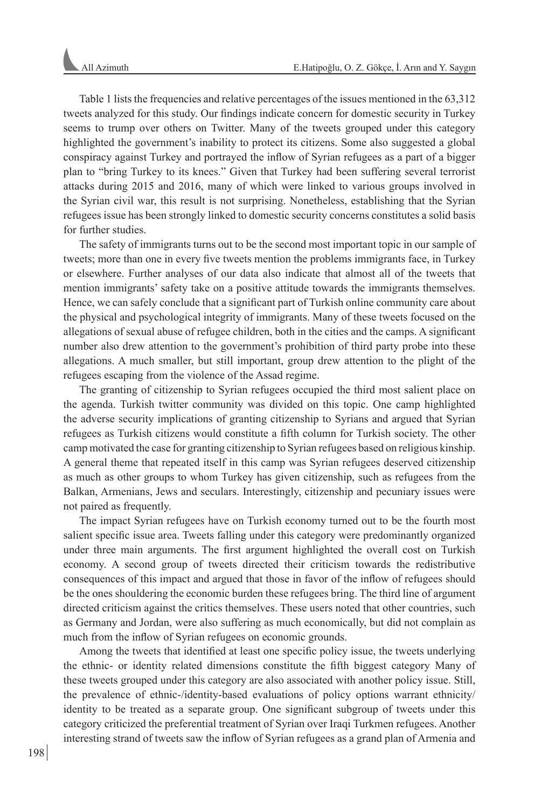Table 1 lists the frequencies and relative percentages of the issues mentioned in the 63,312 tweets analyzed for this study. Our findings indicate concern for domestic security in Turkey seems to trump over others on Twitter. Many of the tweets grouped under this category highlighted the government's inability to protect its citizens. Some also suggested a global conspiracy against Turkey and portrayed the inflow of Syrian refugees as a part of a bigger plan to "bring Turkey to its knees." Given that Turkey had been suffering several terrorist attacks during 2015 and 2016, many of which were linked to various groups involved in the Syrian civil war, this result is not surprising. Nonetheless, establishing that the Syrian refugees issue has been strongly linked to domestic security concerns constitutes a solid basis for further studies.

The safety of immigrants turns out to be the second most important topic in our sample of tweets; more than one in every five tweets mention the problems immigrants face, in Turkey or elsewhere. Further analyses of our data also indicate that almost all of the tweets that mention immigrants' safety take on a positive attitude towards the immigrants themselves. Hence, we can safely conclude that a significant part of Turkish online community care about the physical and psychological integrity of immigrants. Many of these tweets focused on the allegations of sexual abuse of refugee children, both in the cities and the camps. A significant number also drew attention to the government's prohibition of third party probe into these allegations. A much smaller, but still important, group drew attention to the plight of the refugees escaping from the violence of the Assad regime.

The granting of citizenship to Syrian refugees occupied the third most salient place on the agenda. Turkish twitter community was divided on this topic. One camp highlighted the adverse security implications of granting citizenship to Syrians and argued that Syrian refugees as Turkish citizens would constitute a fifth column for Turkish society. The other camp motivated the case for granting citizenship to Syrian refugees based on religious kinship. A general theme that repeated itself in this camp was Syrian refugees deserved citizenship as much as other groups to whom Turkey has given citizenship, such as refugees from the Balkan, Armenians, Jews and seculars. Interestingly, citizenship and pecuniary issues were not paired as frequently.

The impact Syrian refugees have on Turkish economy turned out to be the fourth most salient specific issue area. Tweets falling under this category were predominantly organized under three main arguments. The first argument highlighted the overall cost on Turkish economy. A second group of tweets directed their criticism towards the redistributive consequences of this impact and argued that those in favor of the inflow of refugees should be the ones shouldering the economic burden these refugees bring. The third line of argument directed criticism against the critics themselves. These users noted that other countries, such as Germany and Jordan, were also suffering as much economically, but did not complain as much from the inflow of Syrian refugees on economic grounds.

Among the tweets that identified at least one specific policy issue, the tweets underlying the ethnic- or identity related dimensions constitute the fifth biggest category Many of these tweets grouped under this category are also associated with another policy issue. Still, the prevalence of ethnic-/identity-based evaluations of policy options warrant ethnicity/ identity to be treated as a separate group. One significant subgroup of tweets under this category criticized the preferential treatment of Syrian over Iraqi Turkmen refugees. Another interesting strand of tweets saw the inflow of Syrian refugees as a grand plan of Armenia and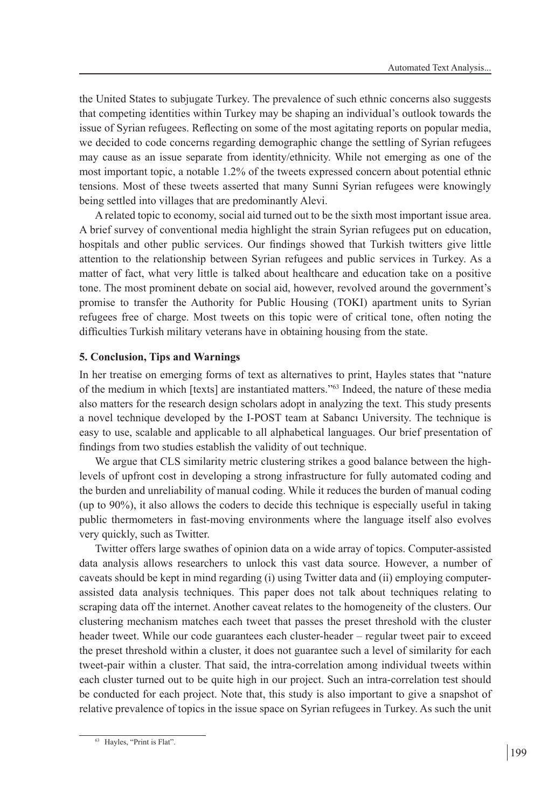the United States to subjugate Turkey. The prevalence of such ethnic concerns also suggests that competing identities within Turkey may be shaping an individual's outlook towards the issue of Syrian refugees. Reflecting on some of the most agitating reports on popular media, we decided to code concerns regarding demographic change the settling of Syrian refugees may cause as an issue separate from identity/ethnicity. While not emerging as one of the most important topic, a notable 1.2% of the tweets expressed concern about potential ethnic tensions. Most of these tweets asserted that many Sunni Syrian refugees were knowingly being settled into villages that are predominantly Alevi.

A related topic to economy, social aid turned out to be the sixth most important issue area. A brief survey of conventional media highlight the strain Syrian refugees put on education, hospitals and other public services. Our findings showed that Turkish twitters give little attention to the relationship between Syrian refugees and public services in Turkey. As a matter of fact, what very little is talked about healthcare and education take on a positive tone. The most prominent debate on social aid, however, revolved around the government's promise to transfer the Authority for Public Housing (TOKI) apartment units to Syrian refugees free of charge. Most tweets on this topic were of critical tone, often noting the difficulties Turkish military veterans have in obtaining housing from the state.

# **5. Conclusion, Tips and Warnings**

In her treatise on emerging forms of text as alternatives to print, Hayles states that "nature of the medium in which [texts] are instantiated matters."63 Indeed, the nature of these media also matters for the research design scholars adopt in analyzing the text. This study presents a novel technique developed by the I-POST team at Sabancı University. The technique is easy to use, scalable and applicable to all alphabetical languages. Our brief presentation of findings from two studies establish the validity of out technique.

We argue that CLS similarity metric clustering strikes a good balance between the highlevels of upfront cost in developing a strong infrastructure for fully automated coding and the burden and unreliability of manual coding. While it reduces the burden of manual coding (up to 90%), it also allows the coders to decide this technique is especially useful in taking public thermometers in fast-moving environments where the language itself also evolves very quickly, such as Twitter.

Twitter offers large swathes of opinion data on a wide array of topics. Computer-assisted data analysis allows researchers to unlock this vast data source. However, a number of caveats should be kept in mind regarding (i) using Twitter data and (ii) employing computerassisted data analysis techniques. This paper does not talk about techniques relating to scraping data off the internet. Another caveat relates to the homogeneity of the clusters. Our clustering mechanism matches each tweet that passes the preset threshold with the cluster header tweet. While our code guarantees each cluster-header – regular tweet pair to exceed the preset threshold within a cluster, it does not guarantee such a level of similarity for each tweet-pair within a cluster. That said, the intra-correlation among individual tweets within each cluster turned out to be quite high in our project. Such an intra-correlation test should be conducted for each project. Note that, this study is also important to give a snapshot of relative prevalence of topics in the issue space on Syrian refugees in Turkey. As such the unit

<sup>63</sup> Hayles, "Print is Flat".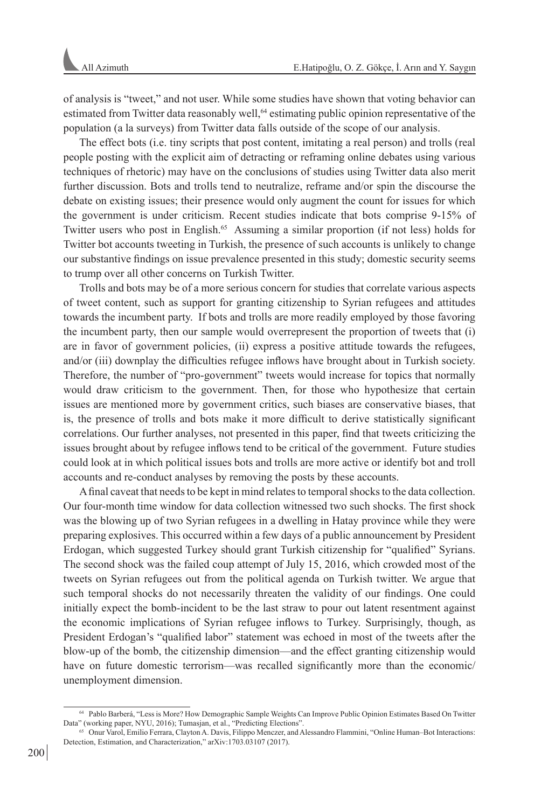of analysis is "tweet," and not user. While some studies have shown that voting behavior can estimated from Twitter data reasonably well,<sup>64</sup> estimating public opinion representative of the population (a la surveys) from Twitter data falls outside of the scope of our analysis.

The effect bots (i.e. tiny scripts that post content, imitating a real person) and trolls (real people posting with the explicit aim of detracting or reframing online debates using various techniques of rhetoric) may have on the conclusions of studies using Twitter data also merit further discussion. Bots and trolls tend to neutralize, reframe and/or spin the discourse the debate on existing issues; their presence would only augment the count for issues for which the government is under criticism. Recent studies indicate that bots comprise 9-15% of Twitter users who post in English.<sup>65</sup> Assuming a similar proportion (if not less) holds for Twitter bot accounts tweeting in Turkish, the presence of such accounts is unlikely to change our substantive findings on issue prevalence presented in this study; domestic security seems to trump over all other concerns on Turkish Twitter.

Trolls and bots may be of a more serious concern for studies that correlate various aspects of tweet content, such as support for granting citizenship to Syrian refugees and attitudes towards the incumbent party. If bots and trolls are more readily employed by those favoring the incumbent party, then our sample would overrepresent the proportion of tweets that (i) are in favor of government policies, (ii) express a positive attitude towards the refugees, and/or (iii) downplay the difficulties refugee inflows have brought about in Turkish society. Therefore, the number of "pro-government" tweets would increase for topics that normally would draw criticism to the government. Then, for those who hypothesize that certain issues are mentioned more by government critics, such biases are conservative biases, that is, the presence of trolls and bots make it more difficult to derive statistically significant correlations. Our further analyses, not presented in this paper, find that tweets criticizing the issues brought about by refugee inflows tend to be critical of the government. Future studies could look at in which political issues bots and trolls are more active or identify bot and troll accounts and re-conduct analyses by removing the posts by these accounts.

A final caveat that needs to be kept in mind relates to temporal shocks to the data collection. Our four-month time window for data collection witnessed two such shocks. The first shock was the blowing up of two Syrian refugees in a dwelling in Hatay province while they were preparing explosives. This occurred within a few days of a public announcement by President Erdogan, which suggested Turkey should grant Turkish citizenship for "qualified" Syrians. The second shock was the failed coup attempt of July 15, 2016, which crowded most of the tweets on Syrian refugees out from the political agenda on Turkish twitter. We argue that such temporal shocks do not necessarily threaten the validity of our findings. One could initially expect the bomb-incident to be the last straw to pour out latent resentment against the economic implications of Syrian refugee inflows to Turkey. Surprisingly, though, as President Erdogan's "qualified labor" statement was echoed in most of the tweets after the blow-up of the bomb, the citizenship dimension—and the effect granting citizenship would have on future domestic terrorism—was recalled significantly more than the economic/ unemployment dimension.

<sup>64</sup> Pablo Barberá, "Less is More? How Demographic Sample Weights Can Improve Public Opinion Estimates Based On Twitter Data" (working paper, NYU, 2016); Tumasjan, et al., "Predicting Elections".

<sup>65</sup> Onur Varol, Emilio Ferrara, Clayton A. Davis, Filippo Menczer, and Alessandro Flammini, "Online Human–Bot Interactions: Detection, Estimation, and Characterization," arXiv:1703.03107 (2017).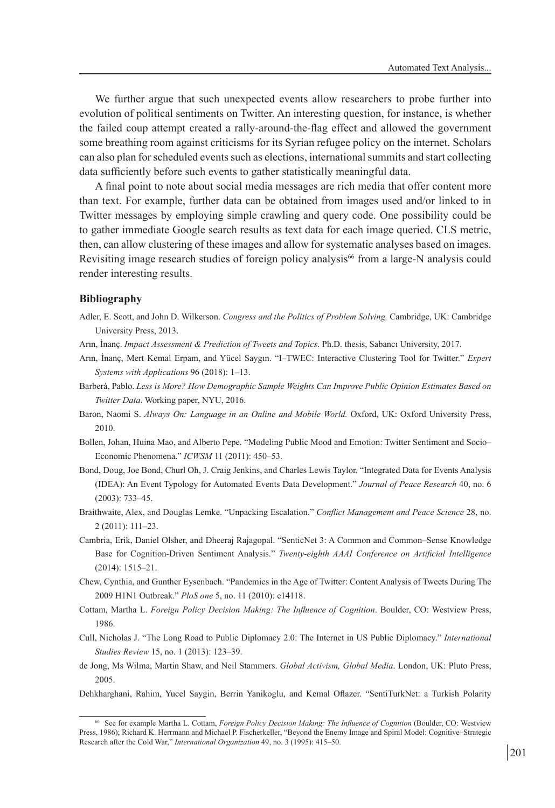We further argue that such unexpected events allow researchers to probe further into evolution of political sentiments on Twitter. An interesting question, for instance, is whether the failed coup attempt created a rally-around-the-flag effect and allowed the government some breathing room against criticisms for its Syrian refugee policy on the internet. Scholars can also plan for scheduled events such as elections, international summits and start collecting data sufficiently before such events to gather statistically meaningful data.

A final point to note about social media messages are rich media that offer content more than text. For example, further data can be obtained from images used and/or linked to in Twitter messages by employing simple crawling and query code. One possibility could be to gather immediate Google search results as text data for each image queried. CLS metric, then, can allow clustering of these images and allow for systematic analyses based on images. Revisiting image research studies of foreign policy analysis<sup>66</sup> from a large-N analysis could render interesting results.

### **Bibliography**

- Adler, E. Scott, and John D. Wilkerson. *Congress and the Politics of Problem Solving.* Cambridge, UK: Cambridge University Press, 2013.
- Arın, İnanç. *Impact Assessment & Prediction of Tweets and Topics*. Ph.D. thesis, Sabancı University, 2017.
- Arın, İnanç, Mert Kemal Erpam, and Yücel Saygın. "I–TWEC: Interactive Clustering Tool for Twitter." *Expert Systems with Applications* 96 (2018): 1–13.
- Barberá, Pablo. *Less is More? How Demographic Sample Weights Can Improve Public Opinion Estimates Based on Twitter Data*. Working paper, NYU, 2016.
- Baron, Naomi S. *Always On: Language in an Online and Mobile World.* Oxford, UK: Oxford University Press, 2010.
- Bollen, Johan, Huina Mao, and Alberto Pepe. "Modeling Public Mood and Emotion: Twitter Sentiment and Socio– Economic Phenomena." *ICWSM* 11 (2011): 450–53.
- Bond, Doug, Joe Bond, Churl Oh, J. Craig Jenkins, and Charles Lewis Taylor. "Integrated Data for Events Analysis (IDEA): An Event Typology for Automated Events Data Development." *Journal of Peace Research* 40, no. 6 (2003): 733–45.
- Braithwaite, Alex, and Douglas Lemke. "Unpacking Escalation." *Conflict Management and Peace Science* 28, no. 2 (2011): 111–23.
- Cambria, Erik, Daniel Olsher, and Dheeraj Rajagopal. "SenticNet 3: A Common and Common–Sense Knowledge Base for Cognition-Driven Sentiment Analysis." *Twenty-eighth AAAI Conference on Artificial Intelligence* (2014): 1515–21.
- Chew, Cynthia, and Gunther Eysenbach. "Pandemics in the Age of Twitter: Content Analysis of Tweets During The 2009 H1N1 Outbreak." *PloS one* 5, no. 11 (2010): e14118.
- Cottam, Martha L. *Foreign Policy Decision Making: The Influence of Cognition*. Boulder, CO: Westview Press, 1986.
- Cull, Nicholas J. "The Long Road to Public Diplomacy 2.0: The Internet in US Public Diplomacy." *International Studies Review* 15, no. 1 (2013): 123–39.
- de Jong, Ms Wilma, Martin Shaw, and Neil Stammers. *Global Activism, Global Media*. London, UK: Pluto Press, 2005.
- Dehkharghani, Rahim, Yucel Saygin, Berrin Yanikoglu, and Kemal Oflazer. "SentiTurkNet: a Turkish Polarity

<sup>66</sup> See for example Martha L. Cottam, *Foreign Policy Decision Making: The Influence of Cognition* (Boulder, CO: Westview Press, 1986); Richard K. Herrmann and Michael P. Fischerkeller, "Beyond the Enemy Image and Spiral Model: Cognitive–Strategic Research after the Cold War," *International Organization* 49, no. 3 (1995): 415–50.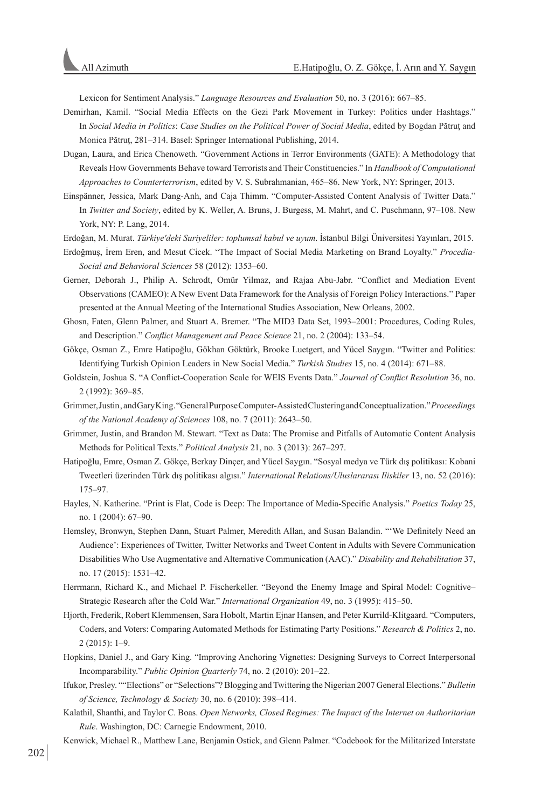Lexicon for Sentiment Analysis." *Language Resources and Evaluation* 50, no. 3 (2016): 667–85.

- Demirhan, Kamil. "Social Media Effects on the Gezi Park Movement in Turkey: Politics under Hashtags." In *Social Media in Politics*: *Case Studies on the Political Power of Social Media*, edited by Bogdan Pătruţ and Monica Pătruţ, 281–314. Basel: Springer International Publishing, 2014.
- Dugan, Laura, and Erica Chenoweth. "Government Actions in Terror Environments (GATE): A Methodology that Reveals How Governments Behave toward Terrorists and Their Constituencies." In *Handbook of Computational Approaches to Counterterrorism*, edited by V. S. Subrahmanian, 465–86. New York, NY: Springer, 2013.
- Einspänner, Jessica, Mark Dang-Anh, and Caja Thimm. "Computer-Assisted Content Analysis of Twitter Data." In *Twitter and Society*, edited by K. Weller, A. Bruns, J. Burgess, M. Mahrt, and C. Puschmann, 97–108. New York, NY: P. Lang, 2014.
- Erdoğan, M. Murat. *Türkiye'deki Suriyeliler: toplumsal kabul ve uyum*. İstanbul Bilgi Üniversitesi Yayınları, 2015.
- Erdoğmuş, İrem Eren, and Mesut Cicek. "The Impact of Social Media Marketing on Brand Loyalty." *Procedia-Social and Behavioral Sciences* 58 (2012): 1353–60.
- Gerner, Deborah J., Philip A. Schrodt, Omür Yilmaz, and Rajaa Abu-Jabr. "Conflict and Mediation Event Observations (CAMEO): A New Event Data Framework for the Analysis of Foreign Policy Interactions." Paper presented at the Annual Meeting of the International Studies Association, New Orleans, 2002.
- Ghosn, Faten, Glenn Palmer, and Stuart A. Bremer. "The MID3 Data Set, 1993–2001: Procedures, Coding Rules, and Description." *Conflict Management and Peace Science* 21, no. 2 (2004): 133–54.
- Gökçe, Osman Z., Emre Hatipoğlu, Gökhan Göktürk, Brooke Luetgert, and Yücel Saygın. "Twitter and Politics: Identifying Turkish Opinion Leaders in New Social Media." *Turkish Studies* 15, no. 4 (2014): 671–88.
- Goldstein, Joshua S. "A Conflict-Cooperation Scale for WEIS Events Data." *Journal of Conflict Resolution* 36, no. 2 (1992): 369–85.
- Grimmer, Justin , and Gary King. "General Purpose Computer-Assisted Clustering and Conceptualization."*Proceedings of the National Academy of Sciences* 108, no. 7 (2011): 2643–50.
- Grimmer, Justin, and Brandon M. Stewart. "Text as Data: The Promise and Pitfalls of Automatic Content Analysis Methods for Political Texts." *Political Analysis* 21, no. 3 (2013): 267–297.
- Hatipoğlu, Emre, Osman Z. Gökçe, Berkay Dinçer, and Yücel Saygın. "Sosyal medya ve Türk dış politikası: Kobani Tweetleri üzerinden Türk dış politikası algısı." *International Relations/Uluslararası Iliskiler* 13, no. 52 (2016): 175–97.
- Hayles, N. Katherine. "Print is Flat, Code is Deep: The Importance of Media-Specific Analysis." *Poetics Today* 25, no. 1 (2004): 67–90.
- Hemsley, Bronwyn, Stephen Dann, Stuart Palmer, Meredith Allan, and Susan Balandin. "'We Definitely Need an Audience': Experiences of Twitter, Twitter Networks and Tweet Content in Adults with Severe Communication Disabilities Who Use Augmentative and Alternative Communication (AAC)." *Disability and Rehabilitation* 37, no. 17 (2015): 1531–42.
- Herrmann, Richard K., and Michael P. Fischerkeller. "Beyond the Enemy Image and Spiral Model: Cognitive– Strategic Research after the Cold War." *International Organization* 49, no. 3 (1995): 415–50.
- Hjorth, Frederik, Robert Klemmensen, Sara Hobolt, Martin Ejnar Hansen, and Peter Kurrild-Klitgaard. "Computers, Coders, and Voters: Comparing Automated Methods for Estimating Party Positions." *Research & Politics* 2, no. 2 (2015): 1–9.
- Hopkins, Daniel J., and Gary King. "Improving Anchoring Vignettes: Designing Surveys to Correct Interpersonal Incomparability." *Public Opinion Quarterly* 74, no. 2 (2010): 201–22.
- Ifukor, Presley. ""Elections" or "Selections"? Blogging and Twittering the Nigerian 2007 General Elections." *Bulletin of Science, Technology & Society* 30, no. 6 (2010): 398–414.
- Kalathil, Shanthi, and Taylor C. Boas. *Open Networks, Closed Regimes: The Impact of the Internet on Authoritarian Rule*. Washington, DC: Carnegie Endowment, 2010.
- Kenwick, Michael R., Matthew Lane, Benjamin Ostick, and Glenn Palmer. "Codebook for the Militarized Interstate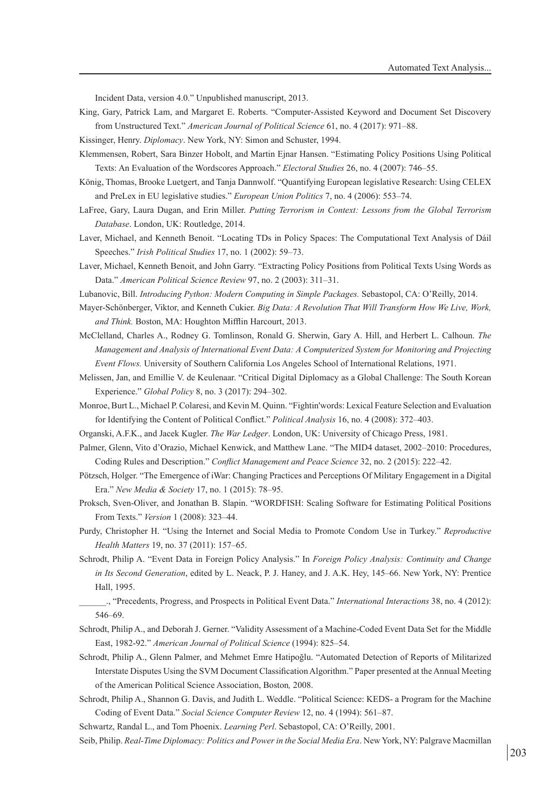Incident Data, version 4.0." Unpublished manuscript, 2013.

- King, Gary, Patrick Lam, and Margaret E. Roberts. "Computer-Assisted Keyword and Document Set Discovery from Unstructured Text." *American Journal of Political Science* 61, no. 4 (2017): 971–88.
- Kissinger, Henry. *Diplomacy*. New York, NY: Simon and Schuster, 1994.
- Klemmensen, Robert, Sara Binzer Hobolt, and Martin Ejnar Hansen. "Estimating Policy Positions Using Political Texts: An Evaluation of the Wordscores Approach." *Electoral Studies* 26, no. 4 (2007): 746–55.
- König, Thomas, Brooke Luetgert, and Tanja Dannwolf. "Quantifying European legislative Research: Using CELEX and PreLex in EU legislative studies." *European Union Politics* 7, no. 4 (2006): 553–74.
- LaFree, Gary, Laura Dugan, and Erin Miller. *Putting Terrorism in Context: Lessons from the Global Terrorism Database*. London, UK: Routledge, 2014.
- Laver, Michael, and Kenneth Benoit. "Locating TDs in Policy Spaces: The Computational Text Analysis of Dáil Speeches." *Irish Political Studies* 17, no. 1 (2002): 59–73.
- Laver, Michael, Kenneth Benoit, and John Garry. "Extracting Policy Positions from Political Texts Using Words as Data." *American Political Science Review* 97, no. 2 (2003): 311–31.
- Lubanovic, Bill. *Introducing Python: Modern Computing in Simple Packages.* Sebastopol, CA: O'Reilly, 2014.
- Mayer-Schönberger, Viktor, and Kenneth Cukier. *Big Data: A Revolution That Will Transform How We Live, Work, and Think.* Boston, MA: Houghton Mifflin Harcourt, 2013.
- McClelland, Charles A., Rodney G. Tomlinson, Ronald G. Sherwin, Gary A. Hill, and Herbert L. Calhoun. *The Management and Analysis of International Event Data: A Computerized System for Monitoring and Projecting Event Flows.* University of Southern California Los Angeles School of International Relations, 1971.
- Melissen, Jan, and Emillie V. de Keulenaar. "Critical Digital Diplomacy as a Global Challenge: The South Korean Experience." *Global Policy* 8, no. 3 (2017): 294–302.
- Monroe, Burt L., Michael P. Colaresi, and Kevin M. Quinn. "Fightin'words: Lexical Feature Selection and Evaluation for Identifying the Content of Political Conflict." *Political Analysis* 16, no. 4 (2008): 372–403.
- Organski, A.F.K., and Jacek Kugler. *The War Ledger*. London, UK: University of Chicago Press, 1981.
- Palmer, Glenn, Vito d'Orazio, Michael Kenwick, and Matthew Lane. "The MID4 dataset, 2002–2010: Procedures, Coding Rules and Description." *Conflict Management and Peace Science* 32, no. 2 (2015): 222–42.
- Pötzsch, Holger. "The Emergence of iWar: Changing Practices and Perceptions Of Military Engagement in a Digital Era." *New Media & Society* 17, no. 1 (2015): 78–95.
- Proksch, Sven-Oliver, and Jonathan B. Slapin. "WORDFISH: Scaling Software for Estimating Political Positions From Texts." *Version* 1 (2008): 323–44.
- Purdy, Christopher H. "Using the Internet and Social Media to Promote Condom Use in Turkey." *Reproductive Health Matters* 19, no. 37 (2011): 157–65.
- Schrodt, Philip A. "Event Data in Foreign Policy Analysis." In *Foreign Policy Analysis: Continuity and Change in Its Second Generation*, edited by L. Neack, P. J. Haney, and J. A.K. Hey, 145–66. New York, NY: Prentice Hall, 1995.
- \_\_\_\_\_\_., "Precedents, Progress, and Prospects in Political Event Data." *International Interactions* 38, no. 4 (2012): 546–69.
- Schrodt, Philip A., and Deborah J. Gerner. "Validity Assessment of a Machine-Coded Event Data Set for the Middle East, 1982-92." *American Journal of Political Science* (1994): 825–54.
- Schrodt, Philip A., Glenn Palmer, and Mehmet Emre Hatipoğlu. "Automated Detection of Reports of Militarized Interstate Disputes Using the SVM Document Classification Algorithm." Paper presented at the Annual Meeting of the American Political Science Association, Boston*,* 2008.
- Schrodt, Philip A., Shannon G. Davis, and Judith L. Weddle. "Political Science: KEDS- a Program for the Machine Coding of Event Data." *Social Science Computer Review* 12, no. 4 (1994): 561–87.
- Schwartz, Randal L., and Tom Phoenix. *Learning Perl*. Sebastopol, CA: O'Reilly, 2001.
- Seib, Philip. *Real-Time Diplomacy: Politics and Power in the Social Media Era*. New York, NY: Palgrave Macmillan